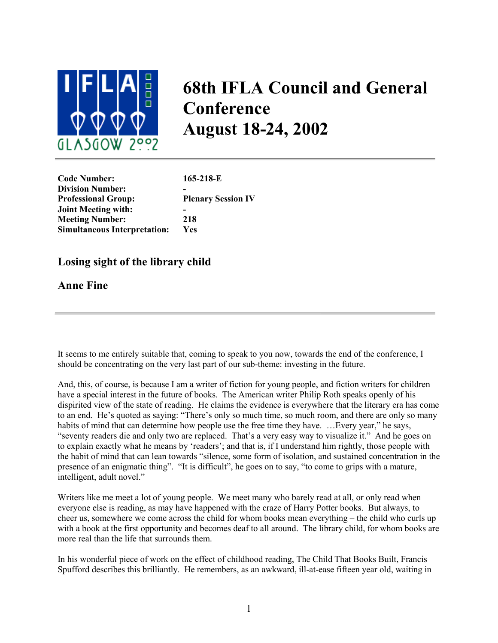

## **68th IFLA Council and General Conference August 18-24, 2002**

**Code Number: 165-218-E Division Number: - Professional Group: Plenary Session IV Joint Meeting with: - Meeting Number: 218 Simultaneous Interpretation: Yes**

## **Losing sight of the library child**

**Anne Fine**

It seems to me entirely suitable that, coming to speak to you now, towards the end of the conference, I should be concentrating on the very last part of our sub-theme: investing in the future.

And, this, of course, is because I am a writer of fiction for young people, and fiction writers for children have a special interest in the future of books. The American writer Philip Roth speaks openly of his dispirited view of the state of reading. He claims the evidence is everywhere that the literary era has come to an end. He's quoted as saying: "There's only so much time, so much room, and there are only so many habits of mind that can determine how people use the free time they have. ... Every year," he says, "seventy readers die and only two are replaced. That's a very easy way to visualize it." And he goes on to explain exactly what he means by 'readers'; and that is, if I understand him rightly, those people with the habit of mind that can lean towards "silence, some form of isolation, and sustained concentration in the presence of an enigmatic thing". "It is difficult", he goes on to say, "to come to grips with a mature, intelligent, adult novel."

Writers like me meet a lot of young people. We meet many who barely read at all, or only read when everyone else is reading, as may have happened with the craze of Harry Potter books. But always, to cheer us, somewhere we come across the child for whom books mean everything – the child who curls up with a book at the first opportunity and becomes deaf to all around. The library child, for whom books are more real than the life that surrounds them.

In his wonderful piece of work on the effect of childhood reading, The Child That Books Built, Francis Spufford describes this brilliantly. He remembers, as an awkward, ill-at-ease fifteen year old, waiting in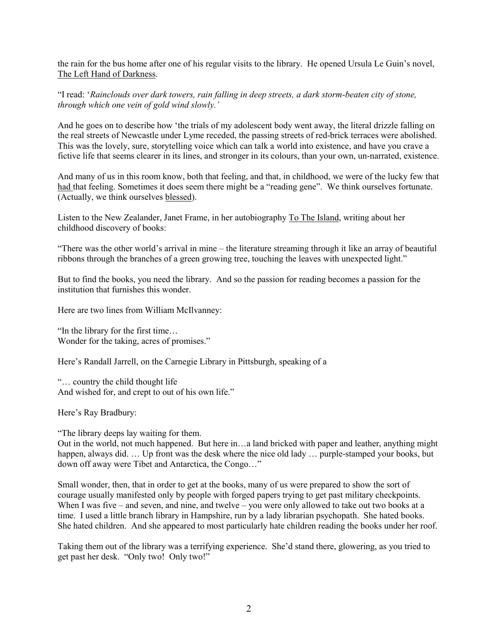the rain for the bus home after one of his regular visits to the library. He opened Ursula Le Guin's novel, The Left Hand of Darkness.

"I read: '*Rainclouds over dark towers, rain falling in deep streets, a dark storm-beaten city of stone, through which one vein of gold wind slowly.'*

And he goes on to describe how 'the trials of my adolescent body went away, the literal drizzle falling on the real streets of Newcastle under Lyme receded, the passing streets of red-brick terraces were abolished. This was the lovely, sure, storytelling voice which can talk a world into existence, and have you crave a fictive life that seems clearer in its lines, and stronger in its colours, than your own, un-narrated, existence.

And many of us in this room know, both that feeling, and that, in childhood, we were of the lucky few that had that feeling. Sometimes it does seem there might be a "reading gene". We think ourselves fortunate. (Actually, we think ourselves blessed).

Listen to the New Zealander, Janet Frame, in her autobiography To The Island, writing about her childhood discovery of books:

"There was the other world's arrival in mine – the literature streaming through it like an array of beautiful ribbons through the branches of a green growing tree, touching the leaves with unexpected light."

But to find the books, you need the library. And so the passion for reading becomes a passion for the institution that furnishes this wonder.

Here are two lines from William McIlvanney:

"In the library for the first time… Wonder for the taking, acres of promises."

Here's Randall Jarrell, on the Carnegie Library in Pittsburgh, speaking of a

"… country the child thought life And wished for, and crept to out of his own life."

Here's Ray Bradbury:

"The library deeps lay waiting for them.

Out in the world, not much happened. But here in…a land bricked with paper and leather, anything might happen, always did. ... Up front was the desk where the nice old lady ... purple-stamped your books, but down off away were Tibet and Antarctica, the Congo…"

Small wonder, then, that in order to get at the books, many of us were prepared to show the sort of courage usually manifested only by people with forged papers trying to get past military checkpoints. When I was five – and seven, and nine, and twelve – you were only allowed to take out two books at a time. I used a little branch library in Hampshire, run by a lady librarian psychopath. She hated books. She hated children. And she appeared to most particularly hate children reading the books under her roof.

Taking them out of the library was a terrifying experience. She'd stand there, glowering, as you tried to get past her desk. "Only two! Only two!"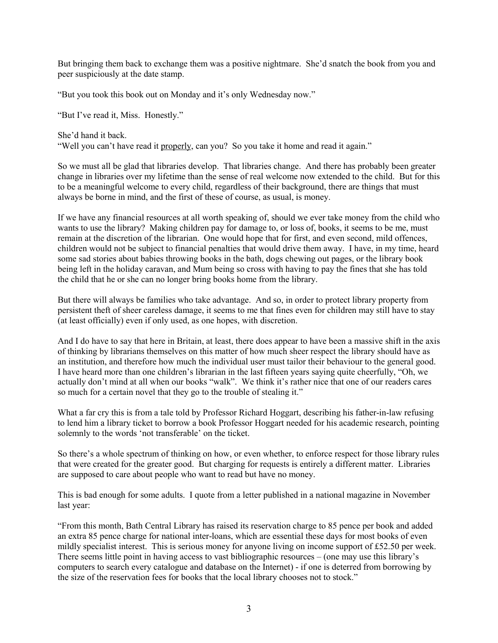But bringing them back to exchange them was a positive nightmare. She'd snatch the book from you and peer suspiciously at the date stamp.

"But you took this book out on Monday and it's only Wednesday now."

"But I've read it, Miss. Honestly."

She'd hand it back.

"Well you can't have read it properly, can you? So you take it home and read it again."

So we must all be glad that libraries develop. That libraries change. And there has probably been greater change in libraries over my lifetime than the sense of real welcome now extended to the child. But for this to be a meaningful welcome to every child, regardless of their background, there are things that must always be borne in mind, and the first of these of course, as usual, is money.

If we have any financial resources at all worth speaking of, should we ever take money from the child who wants to use the library? Making children pay for damage to, or loss of, books, it seems to be me, must remain at the discretion of the librarian. One would hope that for first, and even second, mild offences, children would not be subject to financial penalties that would drive them away. I have, in my time, heard some sad stories about babies throwing books in the bath, dogs chewing out pages, or the library book being left in the holiday caravan, and Mum being so cross with having to pay the fines that she has told the child that he or she can no longer bring books home from the library.

But there will always be families who take advantage. And so, in order to protect library property from persistent theft of sheer careless damage, it seems to me that fines even for children may still have to stay (at least officially) even if only used, as one hopes, with discretion.

And I do have to say that here in Britain, at least, there does appear to have been a massive shift in the axis of thinking by librarians themselves on this matter of how much sheer respect the library should have as an institution, and therefore how much the individual user must tailor their behaviour to the general good. I have heard more than one children's librarian in the last fifteen years saying quite cheerfully, "Oh, we actually don't mind at all when our books "walk". We think it's rather nice that one of our readers cares so much for a certain novel that they go to the trouble of stealing it."

What a far cry this is from a tale told by Professor Richard Hoggart, describing his father-in-law refusing to lend him a library ticket to borrow a book Professor Hoggart needed for his academic research, pointing solemnly to the words 'not transferable' on the ticket.

So there's a whole spectrum of thinking on how, or even whether, to enforce respect for those library rules that were created for the greater good. But charging for requests is entirely a different matter. Libraries are supposed to care about people who want to read but have no money.

This is bad enough for some adults. I quote from a letter published in a national magazine in November last year:

"From this month, Bath Central Library has raised its reservation charge to 85 pence per book and added an extra 85 pence charge for national inter-loans, which are essential these days for most books of even mildly specialist interest. This is serious money for anyone living on income support of £52.50 per week. There seems little point in having access to vast bibliographic resources – (one may use this library's computers to search every catalogue and database on the Internet) - if one is deterred from borrowing by the size of the reservation fees for books that the local library chooses not to stock."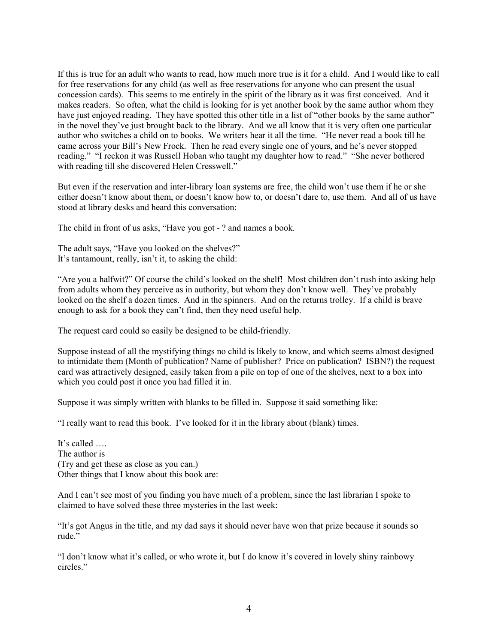If this is true for an adult who wants to read, how much more true is it for a child. And I would like to call for free reservations for any child (as well as free reservations for anyone who can present the usual concession cards). This seems to me entirely in the spirit of the library as it was first conceived. And it makes readers. So often, what the child is looking for is yet another book by the same author whom they have just enjoyed reading. They have spotted this other title in a list of "other books by the same author" in the novel they've just brought back to the library. And we all know that it is very often one particular author who switches a child on to books. We writers hear it all the time. "He never read a book till he came across your Bill's New Frock. Then he read every single one of yours, and he's never stopped reading." "I reckon it was Russell Hoban who taught my daughter how to read." "She never bothered with reading till she discovered Helen Cresswell."

But even if the reservation and inter-library loan systems are free, the child won't use them if he or she either doesn't know about them, or doesn't know how to, or doesn't dare to, use them. And all of us have stood at library desks and heard this conversation:

The child in front of us asks, "Have you got - ? and names a book.

The adult says, "Have you looked on the shelves?" It's tantamount, really, isn't it, to asking the child:

"Are you a halfwit?" Of course the child's looked on the shelf! Most children don't rush into asking help from adults whom they perceive as in authority, but whom they don't know well. They've probably looked on the shelf a dozen times. And in the spinners. And on the returns trolley. If a child is brave enough to ask for a book they can't find, then they need useful help.

The request card could so easily be designed to be child-friendly.

Suppose instead of all the mystifying things no child is likely to know, and which seems almost designed to intimidate them (Month of publication? Name of publisher? Price on publication? ISBN?) the request card was attractively designed, easily taken from a pile on top of one of the shelves, next to a box into which you could post it once you had filled it in.

Suppose it was simply written with blanks to be filled in. Suppose it said something like:

"I really want to read this book. I've looked for it in the library about (blank) times.

It's called … The author is (Try and get these as close as you can.) Other things that I know about this book are:

And I can't see most of you finding you have much of a problem, since the last librarian I spoke to claimed to have solved these three mysteries in the last week:

"It's got Angus in the title, and my dad says it should never have won that prize because it sounds so rude."

"I don't know what it's called, or who wrote it, but I do know it's covered in lovely shiny rainbowy circles."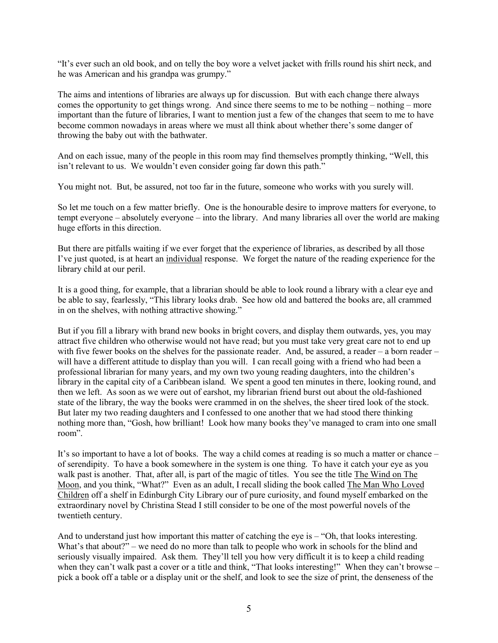"It's ever such an old book, and on telly the boy wore a velvet jacket with frills round his shirt neck, and he was American and his grandpa was grumpy."

The aims and intentions of libraries are always up for discussion. But with each change there always comes the opportunity to get things wrong. And since there seems to me to be nothing – nothing – more important than the future of libraries, I want to mention just a few of the changes that seem to me to have become common nowadays in areas where we must all think about whether there's some danger of throwing the baby out with the bathwater.

And on each issue, many of the people in this room may find themselves promptly thinking, "Well, this isn't relevant to us. We wouldn't even consider going far down this path."

You might not. But, be assured, not too far in the future, someone who works with you surely will.

So let me touch on a few matter briefly. One is the honourable desire to improve matters for everyone, to tempt everyone – absolutely everyone – into the library. And many libraries all over the world are making huge efforts in this direction.

But there are pitfalls waiting if we ever forget that the experience of libraries, as described by all those I've just quoted, is at heart an individual response. We forget the nature of the reading experience for the library child at our peril.

It is a good thing, for example, that a librarian should be able to look round a library with a clear eye and be able to say, fearlessly, "This library looks drab. See how old and battered the books are, all crammed in on the shelves, with nothing attractive showing."

But if you fill a library with brand new books in bright covers, and display them outwards, yes, you may attract five children who otherwise would not have read; but you must take very great care not to end up with five fewer books on the shelves for the passionate reader. And, be assured, a reader – a born reader – will have a different attitude to display than you will. I can recall going with a friend who had been a professional librarian for many years, and my own two young reading daughters, into the children's library in the capital city of a Caribbean island. We spent a good ten minutes in there, looking round, and then we left. As soon as we were out of earshot, my librarian friend burst out about the old-fashioned state of the library, the way the books were crammed in on the shelves, the sheer tired look of the stock. But later my two reading daughters and I confessed to one another that we had stood there thinking nothing more than, "Gosh, how brilliant! Look how many books they've managed to cram into one small room".

It's so important to have a lot of books. The way a child comes at reading is so much a matter or chance – of serendipity. To have a book somewhere in the system is one thing. To have it catch your eye as you walk past is another. That, after all, is part of the magic of titles. You see the title The Wind on The Moon, and you think, "What?" Even as an adult, I recall sliding the book called The Man Who Loved Children off a shelf in Edinburgh City Library our of pure curiosity, and found myself embarked on the extraordinary novel by Christina Stead I still consider to be one of the most powerful novels of the twentieth century.

And to understand just how important this matter of catching the eye is – "Oh, that looks interesting. What's that about?" – we need do no more than talk to people who work in schools for the blind and seriously visually impaired. Ask them. They'll tell you how very difficult it is to keep a child reading when they can't walk past a cover or a title and think, "That looks interesting!" When they can't browse – pick a book off a table or a display unit or the shelf, and look to see the size of print, the denseness of the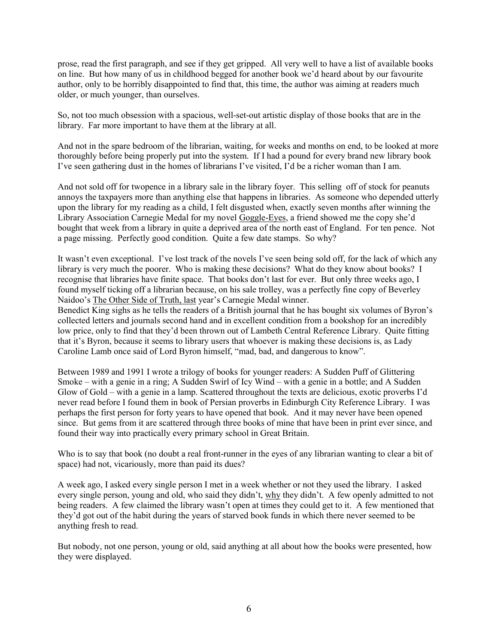prose, read the first paragraph, and see if they get gripped. All very well to have a list of available books on line. But how many of us in childhood begged for another book we'd heard about by our favourite author, only to be horribly disappointed to find that, this time, the author was aiming at readers much older, or much younger, than ourselves.

So, not too much obsession with a spacious, well-set-out artistic display of those books that are in the library. Far more important to have them at the library at all.

And not in the spare bedroom of the librarian, waiting, for weeks and months on end, to be looked at more thoroughly before being properly put into the system. If I had a pound for every brand new library book I've seen gathering dust in the homes of librarians I've visited, I'd be a richer woman than I am.

And not sold off for twopence in a library sale in the library foyer. This selling off of stock for peanuts annoys the taxpayers more than anything else that happens in libraries. As someone who depended utterly upon the library for my reading as a child, I felt disgusted when, exactly seven months after winning the Library Association Carnegie Medal for my novel Goggle-Eyes, a friend showed me the copy she'd bought that week from a library in quite a deprived area of the north east of England. For ten pence. Not a page missing. Perfectly good condition. Quite a few date stamps. So why?

It wasn't even exceptional. I've lost track of the novels I've seen being sold off, for the lack of which any library is very much the poorer. Who is making these decisions? What do they know about books? I recognise that libraries have finite space. That books don't last for ever. But only three weeks ago, I found myself ticking off a librarian because, on his sale trolley, was a perfectly fine copy of Beverley Naidoo's The Other Side of Truth, last year's Carnegie Medal winner.

Benedict King sighs as he tells the readers of a British journal that he has bought six volumes of Byron's collected letters and journals second hand and in excellent condition from a bookshop for an incredibly low price, only to find that they'd been thrown out of Lambeth Central Reference Library. Quite fitting that it's Byron, because it seems to library users that whoever is making these decisions is, as Lady Caroline Lamb once said of Lord Byron himself, "mad, bad, and dangerous to know".

Between 1989 and 1991 I wrote a trilogy of books for younger readers: A Sudden Puff of Glittering Smoke – with a genie in a ring; A Sudden Swirl of Icy Wind – with a genie in a bottle; and A Sudden Glow of Gold – with a genie in a lamp. Scattered throughout the texts are delicious, exotic proverbs I'd never read before I found them in book of Persian proverbs in Edinburgh City Reference Library. I was perhaps the first person for forty years to have opened that book. And it may never have been opened since. But gems from it are scattered through three books of mine that have been in print ever since, and found their way into practically every primary school in Great Britain.

Who is to say that book (no doubt a real front-runner in the eyes of any librarian wanting to clear a bit of space) had not, vicariously, more than paid its dues?

A week ago, I asked every single person I met in a week whether or not they used the library. I asked every single person, young and old, who said they didn't, why they didn't. A few openly admitted to not being readers. A few claimed the library wasn't open at times they could get to it. A few mentioned that they'd got out of the habit during the years of starved book funds in which there never seemed to be anything fresh to read.

But nobody, not one person, young or old, said anything at all about how the books were presented, how they were displayed.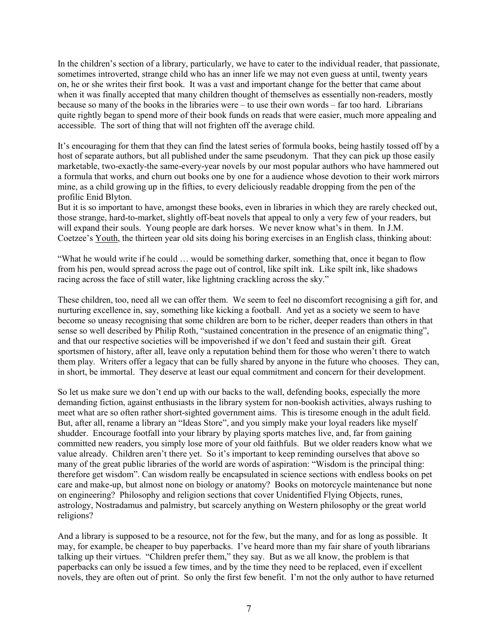In the children's section of a library, particularly, we have to cater to the individual reader, that passionate, sometimes introverted, strange child who has an inner life we may not even guess at until, twenty years on, he or she writes their first book. It was a vast and important change for the better that came about when it was finally accepted that many children thought of themselves as essentially non-readers, mostly because so many of the books in the libraries were – to use their own words – far too hard. Librarians quite rightly began to spend more of their book funds on reads that were easier, much more appealing and accessible. The sort of thing that will not frighten off the average child.

It's encouraging for them that they can find the latest series of formula books, being hastily tossed off by a host of separate authors, but all published under the same pseudonym. That they can pick up those easily marketable, two-exactly-the same-every-year novels by our most popular authors who have hammered out a formula that works, and churn out books one by one for a audience whose devotion to their work mirrors mine, as a child growing up in the fifties, to every deliciously readable dropping from the pen of the profilic Enid Blyton.

But it is so important to have, amongst these books, even in libraries in which they are rarely checked out, those strange, hard-to-market, slightly off-beat novels that appeal to only a very few of your readers, but will expand their souls. Young people are dark horses. We never know what's in them. In J.M. Coetzee's Youth, the thirteen year old sits doing his boring exercises in an English class, thinking about:

"What he would write if he could … would be something darker, something that, once it began to flow from his pen, would spread across the page out of control, like spilt ink. Like spilt ink, like shadows racing across the face of still water, like lightning crackling across the sky."

These children, too, need all we can offer them. We seem to feel no discomfort recognising a gift for, and nurturing excellence in, say, something like kicking a football. And yet as a society we seem to have become so uneasy recognising that some children are born to be richer, deeper readers than others in that sense so well described by Philip Roth, "sustained concentration in the presence of an enigmatic thing", and that our respective societies will be impoverished if we don't feed and sustain their gift. Great sportsmen of history, after all, leave only a reputation behind them for those who weren't there to watch them play. Writers offer a legacy that can be fully shared by anyone in the future who chooses. They can, in short, be immortal. They deserve at least our equal commitment and concern for their development.

So let us make sure we don't end up with our backs to the wall, defending books, especially the more demanding fiction, against enthusiasts in the library system for non-bookish activities, always rushing to meet what are so often rather short-sighted government aims. This is tiresome enough in the adult field. But, after all, rename a library an "Ideas Store", and you simply make your loyal readers like myself shudder. Encourage footfall into your library by playing sports matches live, and, far from gaining committed new readers, you simply lose more of your old faithfuls. But we older readers know what we value already. Children aren't there yet. So it's important to keep reminding ourselves that above so many of the great public libraries of the world are words of aspiration: "Wisdom is the principal thing: therefore get wisdom". Can wisdom really be encapsulated in science sections with endless books on pet care and make-up, but almost none on biology or anatomy? Books on motorcycle maintenance but none on engineering? Philosophy and religion sections that cover Unidentified Flying Objects, runes, astrology, Nostradamus and palmistry, but scarcely anything on Western philosophy or the great world religions?

And a library is supposed to be a resource, not for the few, but the many, and for as long as possible. It may, for example, be cheaper to buy paperbacks. I've heard more than my fair share of youth librarians talking up their virtues. "Children prefer them," they say. But as we all know, the problem is that paperbacks can only be issued a few times, and by the time they need to be replaced, even if excellent novels, they are often out of print. So only the first few benefit. I'm not the only author to have returned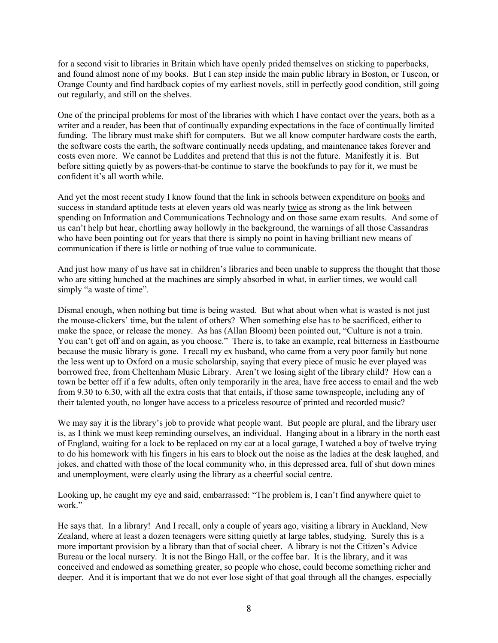for a second visit to libraries in Britain which have openly prided themselves on sticking to paperbacks, and found almost none of my books. But I can step inside the main public library in Boston, or Tuscon, or Orange County and find hardback copies of my earliest novels, still in perfectly good condition, still going out regularly, and still on the shelves.

One of the principal problems for most of the libraries with which I have contact over the years, both as a writer and a reader, has been that of continually expanding expectations in the face of continually limited funding. The library must make shift for computers. But we all know computer hardware costs the earth, the software costs the earth, the software continually needs updating, and maintenance takes forever and costs even more. We cannot be Luddites and pretend that this is not the future. Manifestly it is. But before sitting quietly by as powers-that-be continue to starve the bookfunds to pay for it, we must be confident it's all worth while.

And yet the most recent study I know found that the link in schools between expenditure on books and success in standard aptitude tests at eleven years old was nearly twice as strong as the link between spending on Information and Communications Technology and on those same exam results. And some of us can't help but hear, chortling away hollowly in the background, the warnings of all those Cassandras who have been pointing out for years that there is simply no point in having brilliant new means of communication if there is little or nothing of true value to communicate.

And just how many of us have sat in children's libraries and been unable to suppress the thought that those who are sitting hunched at the machines are simply absorbed in what, in earlier times, we would call simply "a waste of time".

Dismal enough, when nothing but time is being wasted. But what about when what is wasted is not just the mouse-clickers' time, but the talent of others? When something else has to be sacrificed, either to make the space, or release the money. As has (Allan Bloom) been pointed out, "Culture is not a train. You can't get off and on again, as you choose." There is, to take an example, real bitterness in Eastbourne because the music library is gone. I recall my ex husband, who came from a very poor family but none the less went up to Oxford on a music scholarship, saying that every piece of music he ever played was borrowed free, from Cheltenham Music Library. Aren't we losing sight of the library child? How can a town be better off if a few adults, often only temporarily in the area, have free access to email and the web from 9.30 to 6.30, with all the extra costs that that entails, if those same townspeople, including any of their talented youth, no longer have access to a priceless resource of printed and recorded music?

We may say it is the library's job to provide what people want. But people are plural, and the library user is, as I think we must keep reminding ourselves, an individual. Hanging about in a library in the north east of England, waiting for a lock to be replaced on my car at a local garage, I watched a boy of twelve trying to do his homework with his fingers in his ears to block out the noise as the ladies at the desk laughed, and jokes, and chatted with those of the local community who, in this depressed area, full of shut down mines and unemployment, were clearly using the library as a cheerful social centre.

Looking up, he caught my eye and said, embarrassed: "The problem is, I can't find anywhere quiet to work."

He says that. In a library! And I recall, only a couple of years ago, visiting a library in Auckland, New Zealand, where at least a dozen teenagers were sitting quietly at large tables, studying. Surely this is a more important provision by a library than that of social cheer. A library is not the Citizen's Advice Bureau or the local nursery. It is not the Bingo Hall, or the coffee bar. It is the library, and it was conceived and endowed as something greater, so people who chose, could become something richer and deeper. And it is important that we do not ever lose sight of that goal through all the changes, especially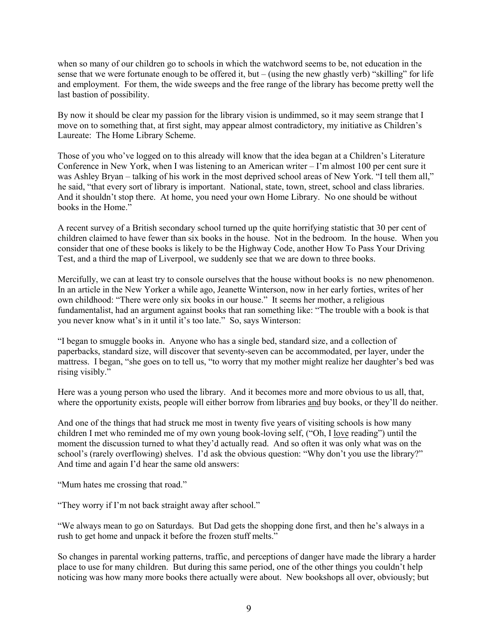when so many of our children go to schools in which the watchword seems to be, not education in the sense that we were fortunate enough to be offered it, but – (using the new ghastly verb) "skilling" for life and employment. For them, the wide sweeps and the free range of the library has become pretty well the last bastion of possibility.

By now it should be clear my passion for the library vision is undimmed, so it may seem strange that I move on to something that, at first sight, may appear almost contradictory, my initiative as Children's Laureate: The Home Library Scheme.

Those of you who've logged on to this already will know that the idea began at a Children's Literature Conference in New York, when I was listening to an American writer – I'm almost 100 per cent sure it was Ashley Bryan – talking of his work in the most deprived school areas of New York. "I tell them all," he said, "that every sort of library is important. National, state, town, street, school and class libraries. And it shouldn't stop there. At home, you need your own Home Library. No one should be without books in the Home."

A recent survey of a British secondary school turned up the quite horrifying statistic that 30 per cent of children claimed to have fewer than six books in the house. Not in the bedroom. In the house. When you consider that one of these books is likely to be the Highway Code, another How To Pass Your Driving Test, and a third the map of Liverpool, we suddenly see that we are down to three books.

Mercifully, we can at least try to console ourselves that the house without books is no new phenomenon. In an article in the New Yorker a while ago, Jeanette Winterson, now in her early forties, writes of her own childhood: "There were only six books in our house." It seems her mother, a religious fundamentalist, had an argument against books that ran something like: "The trouble with a book is that you never know what's in it until it's too late." So, says Winterson:

"I began to smuggle books in. Anyone who has a single bed, standard size, and a collection of paperbacks, standard size, will discover that seventy-seven can be accommodated, per layer, under the mattress. I began, "she goes on to tell us, "to worry that my mother might realize her daughter's bed was rising visibly."

Here was a young person who used the library. And it becomes more and more obvious to us all, that, where the opportunity exists, people will either borrow from libraries and buy books, or they'll do neither.

And one of the things that had struck me most in twenty five years of visiting schools is how many children I met who reminded me of my own young book-loving self, ("Oh, I love reading") until the moment the discussion turned to what they'd actually read. And so often it was only what was on the school's (rarely overflowing) shelves. I'd ask the obvious question: "Why don't you use the library?" And time and again I'd hear the same old answers:

"Mum hates me crossing that road."

"They worry if I'm not back straight away after school."

"We always mean to go on Saturdays. But Dad gets the shopping done first, and then he's always in a rush to get home and unpack it before the frozen stuff melts."

So changes in parental working patterns, traffic, and perceptions of danger have made the library a harder place to use for many children. But during this same period, one of the other things you couldn't help noticing was how many more books there actually were about. New bookshops all over, obviously; but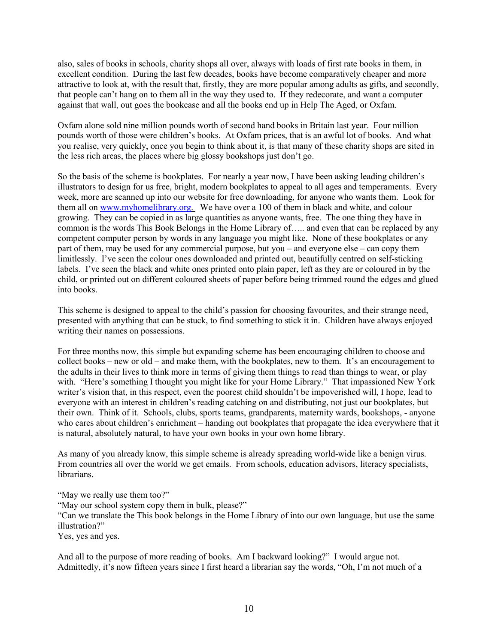also, sales of books in schools, charity shops all over, always with loads of first rate books in them, in excellent condition. During the last few decades, books have become comparatively cheaper and more attractive to look at, with the result that, firstly, they are more popular among adults as gifts, and secondly, that people can't hang on to them all in the way they used to. If they redecorate, and want a computer against that wall, out goes the bookcase and all the books end up in Help The Aged, or Oxfam.

Oxfam alone sold nine million pounds worth of second hand books in Britain last year. Four million pounds worth of those were children's books. At Oxfam prices, that is an awful lot of books. And what you realise, very quickly, once you begin to think about it, is that many of these charity shops are sited in the less rich areas, the places where big glossy bookshops just don't go.

So the basis of the scheme is bookplates. For nearly a year now, I have been asking leading children's illustrators to design for us free, bright, modern bookplates to appeal to all ages and temperaments. Every week, more are scanned up into our website for free downloading, for anyone who wants them. Look for them all on [www.myhomelibrary.org.](http://www.myhomelibrary.org/) We have over a 100 of them in black and white, and colour growing. They can be copied in as large quantities as anyone wants, free. The one thing they have in common is the words This Book Belongs in the Home Library of….. and even that can be replaced by any competent computer person by words in any language you might like. None of these bookplates or any part of them, may be used for any commercial purpose, but you – and everyone else – can copy them limitlessly. I've seen the colour ones downloaded and printed out, beautifully centred on self-sticking labels. I've seen the black and white ones printed onto plain paper, left as they are or coloured in by the child, or printed out on different coloured sheets of paper before being trimmed round the edges and glued into books.

This scheme is designed to appeal to the child's passion for choosing favourites, and their strange need, presented with anything that can be stuck, to find something to stick it in. Children have always enjoyed writing their names on possessions.

For three months now, this simple but expanding scheme has been encouraging children to choose and collect books – new or old – and make them, with the bookplates, new to them. It's an encouragement to the adults in their lives to think more in terms of giving them things to read than things to wear, or play with. "Here's something I thought you might like for your Home Library." That impassioned New York writer's vision that, in this respect, even the poorest child shouldn't be impoverished will, I hope, lead to everyone with an interest in children's reading catching on and distributing, not just our bookplates, but their own. Think of it. Schools, clubs, sports teams, grandparents, maternity wards, bookshops, - anyone who cares about children's enrichment – handing out bookplates that propagate the idea everywhere that it is natural, absolutely natural, to have your own books in your own home library.

As many of you already know, this simple scheme is already spreading world-wide like a benign virus. From countries all over the world we get emails. From schools, education advisors, literacy specialists, **librarians** 

"May we really use them too?"

"May our school system copy them in bulk, please?"

"Can we translate the This book belongs in the Home Library of into our own language, but use the same illustration?"

Yes, yes and yes.

And all to the purpose of more reading of books. Am I backward looking?" I would argue not. Admittedly, it's now fifteen years since I first heard a librarian say the words, "Oh, I'm not much of a